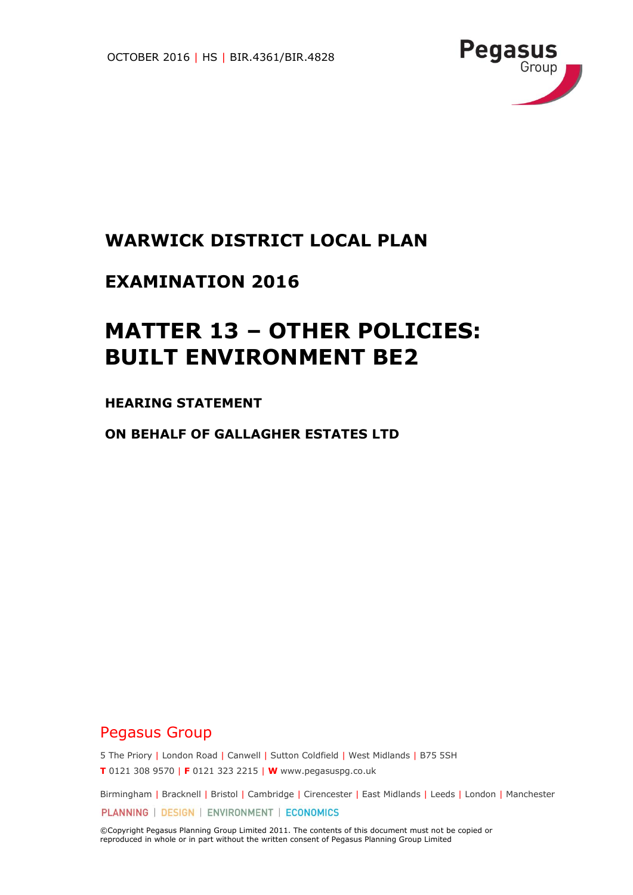

## **WARWICK DISTRICT LOCAL PLAN**

## **EXAMINATION 2016**

# **MATTER 13 – OTHER POLICIES: BUILT ENVIRONMENT BE2**

### **HEARING STATEMENT**

**ON BEHALF OF GALLAGHER ESTATES LTD**

## Pegasus Group

5 The Priory | London Road | Canwell | Sutton Coldfield | West Midlands | B75 5SH **T** 0121 308 9570 | **F** 0121 323 2215 | **W** www.pegasuspg.co.uk

Birmingham | Bracknell | Bristol | Cambridge | Cirencester | East Midlands | Leeds | London | Manchester PLANNING | DESIGN | ENVIRONMENT | ECONOMICS

©Copyright Pegasus Planning Group Limited 2011. The contents of this document must not be copied or reproduced in whole or in part without the written consent of Pegasus Planning Group Limited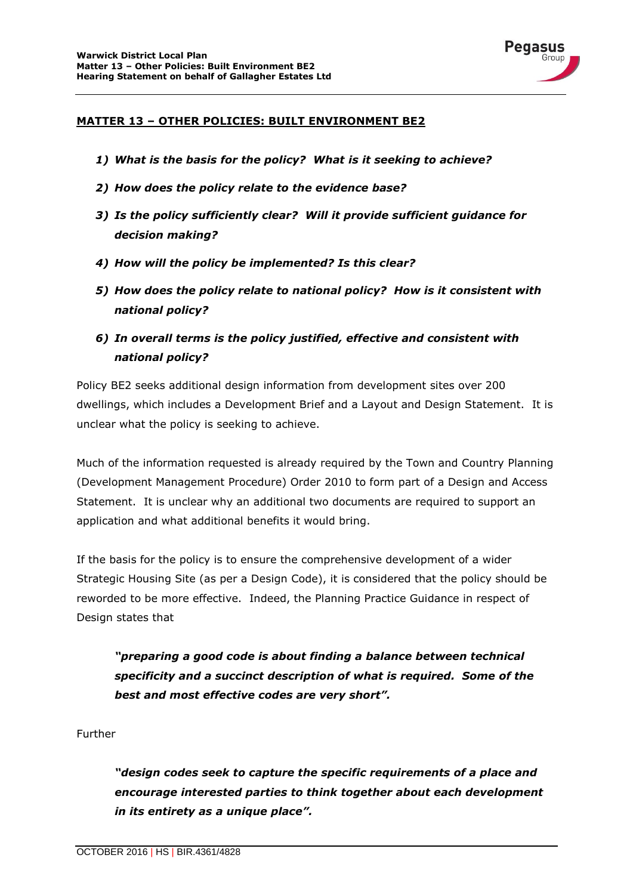

#### **MATTER 13 – OTHER POLICIES: BUILT ENVIRONMENT BE2**

- *1) What is the basis for the policy? What is it seeking to achieve?*
- *2) How does the policy relate to the evidence base?*
- *3) Is the policy sufficiently clear? Will it provide sufficient guidance for decision making?*
- *4) How will the policy be implemented? Is this clear?*
- *5) How does the policy relate to national policy? How is it consistent with national policy?*
- *6) In overall terms is the policy justified, effective and consistent with national policy?*

Policy BE2 seeks additional design information from development sites over 200 dwellings, which includes a Development Brief and a Layout and Design Statement. It is unclear what the policy is seeking to achieve.

Much of the information requested is already required by the Town and Country Planning (Development Management Procedure) Order 2010 to form part of a Design and Access Statement. It is unclear why an additional two documents are required to support an application and what additional benefits it would bring.

If the basis for the policy is to ensure the comprehensive development of a wider Strategic Housing Site (as per a Design Code), it is considered that the policy should be reworded to be more effective. Indeed, the Planning Practice Guidance in respect of Design states that

*"preparing a good code is about finding a balance between technical specificity and a succinct description of what is required. Some of the best and most effective codes are very short".*

Further

*"design codes seek to capture the specific requirements of a place and encourage interested parties to think together about each development in its entirety as a unique place".*